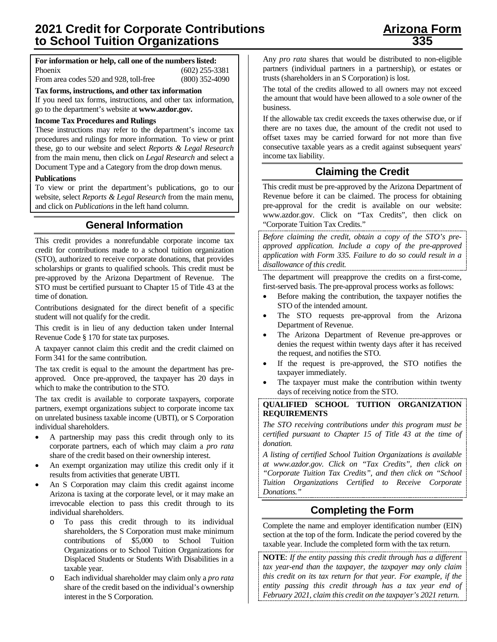## **For information or help, call one of the numbers listed:**

Phoenix (602) 255-3381

From area codes 520 and 928, toll-free (800) 352-4090

**Tax forms, instructions, and other tax information**

If you need tax forms, instructions, and other tax information, go to the department's website at **[www.azdor.gov.](http://www.azdor.gov/)** 

### **Income Tax Procedures and Rulings**

These instructions may refer to the department's income tax procedures and rulings for more information. To view or print these, go to our website and select *Reports & Legal Research* from the main menu, then click on *Legal Research* and select a Document Type and a Category from the drop down menus.

### **Publications**

To view or print the department's publications, go to our website, select *Reports & Legal Research* from the main menu, and click on *Publications* in the left hand column.

## **General Information**

This credit provides a nonrefundable corporate income tax credit for contributions made to a school tuition organization (STO), authorized to receive corporate donations, that provides scholarships or grants to qualified schools. This credit must be pre-approved by the Arizona Department of Revenue. The STO must be certified pursuant to Chapter 15 of Title 43 at the time of donation.

Contributions designated for the direct benefit of a specific student will not qualify for the credit.

This credit is in lieu of any deduction taken under Internal Revenue Code § 170 for state tax purposes.

A taxpayer cannot claim this credit and the credit claimed on Form 341 for the same contribution.

The tax credit is equal to the amount the department has preapproved. Once pre-approved, the taxpayer has 20 days in which to make the contribution to the STO.

The tax credit is available to corporate taxpayers, corporate partners, exempt organizations subject to corporate income tax on unrelated business taxable income (UBTI), or S Corporation individual shareholders.

- A partnership may pass this credit through only to its corporate partners, each of which may claim a *pro rata* share of the credit based on their ownership interest.
- An exempt organization may utilize this credit only if it results from activities that generate UBTI.
- An S Corporation may claim this credit against income Arizona is taxing at the corporate level, or it may make an irrevocable election to pass this credit through to its individual shareholders.
	- o To pass this credit through to its individual shareholders, the S Corporation must make minimum contributions of \$5,000 to School Tuition Organizations or to School Tuition Organizations for Displaced Students or Students With Disabilities in a taxable year.
	- o Each individual shareholder may claim only a *pro rata* share of the credit based on the individual's ownership interest in the S Corporation.

Any *pro rata* shares that would be distributed to non-eligible partners (individual partners in a partnership), or estates or trusts (shareholders in an S Corporation) is lost.

The total of the credits allowed to all owners may not exceed the amount that would have been allowed to a sole owner of the business.

If the allowable tax credit exceeds the taxes otherwise due, or if there are no taxes due, the amount of the credit not used to offset taxes may be carried forward for not more than five consecutive taxable years as a credit against subsequent years' income tax liability.

# **Claiming the Credit**

This credit must be pre-approved by the Arizona Department of Revenue before it can be claimed. The process for obtaining pre-approval for the credit is available on our website: [www.azdor.gov.](http://www.azdor.gov/) Click on "Tax Credits", then click on "Corporate Tuition Tax Credits."

*Before claiming the credit, obtain a copy of the STO's preapproved application. Include a copy of the pre-approved application with Form 335. Failure to do so could result in a disallowance of this credit.*

The department will preapprove the credits on a first-come, first-served basis. The pre-approval process works as follows:

- Before making the contribution, the taxpayer notifies the STO of the intended amount.
- The STO requests pre-approval from the Arizona Department of Revenue.
- The Arizona Department of Revenue pre-approves or denies the request within twenty days after it has received the request, and notifies the STO.
- If the request is pre-approved, the STO notifies the taxpayer immediately.
- The taxpayer must make the contribution within twenty days of receiving notice from the STO.

#### **QUALIFIED SCHOOL TUITION ORGANIZATION REQUIREMENTS**

*The STO receiving contributions under this program must be certified pursuant to Chapter 15 of Title 43 at the time of donation.* 

*A listing of certified School Tuition Organizations is available at www.azdor.gov. Click on "Tax Credits", then click on "Corporate Tuition Tax Credits", and then click on "School Tuition Organizations Certified to Receive Corporate Donations."*

# **Completing the Form**

Complete the name and employer identification number (EIN) section at the top of the form. Indicate the period covered by the taxable year. Include the completed form with the tax return.

**NOTE**: *If the entity passing this credit through has a different tax year-end than the taxpayer, the taxpayer may only claim this credit on its tax return for that year. For example, if the entity passing this credit through has a tax year end of February 2021, claim this credit on the taxpayer's 2021 return.*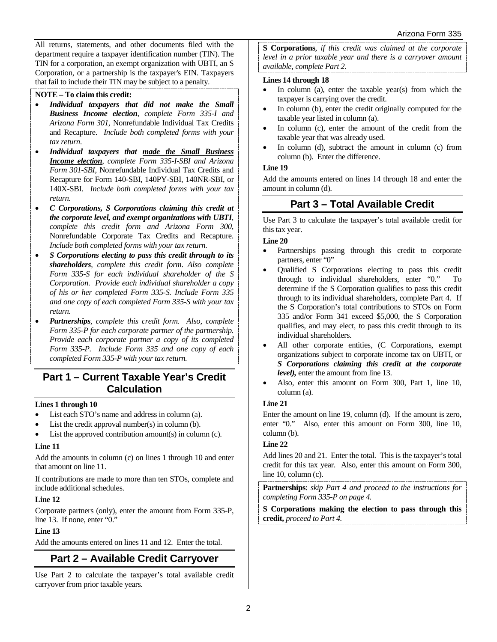All returns, statements, and other documents filed with the department require a taxpayer identification number (TIN). The TIN for a corporation, an exempt organization with UBTI, an S Corporation, or a partnership is the taxpayer's EIN. Taxpayers that fail to include their TIN may be subject to a penalty.

### **NOTE – To claim this credit:**

- *Individual taxpayers that did not make the Small Business Income election*, *complete Form 335-I and Arizona Form 301*, Nonrefundable Individual Tax Credits and Recapture. *Include both completed forms with your tax return.*
- *Individual taxpayers that made the Small Business Income election*, *complete Form 335-I-SBI and Arizona Form 301-SBI*, Nonrefundable Individual Tax Credits and Recapture for Form 140-SBI, 140PY-SBI, 140NR-SBI, or 140X-SBI. *Include both completed forms with your tax return.*
- *C Corporations, S Corporations claiming this credit at the corporate level, and exempt organizations with UBTI*, *complete this credit form and Arizona Form 300*, Nonrefundable Corporate Tax Credits and Recapture. *Include both completed forms with your tax return.*
- *S Corporations electing to pass this credit through to its shareholders*, *complete this credit form*. *Also complete Form 335-S for each individual shareholder of the S Corporation. Provide each individual shareholder a copy of his or her completed Form 335-S. Include Form 335 and one copy of each completed Form 335-S with your tax return.*
- *Partnerships*, *complete this credit form. Also, complete Form 335-P for each corporate partner of the partnership. Provide each corporate partner a copy of its completed Form 335-P. Include Form 335 and one copy of each completed Form 335-P with your tax return.*

## **Part 1 – Current Taxable Year's Credit Calculation**

#### **Lines 1 through 10**

- List each STO's name and address in column (a).
- List the credit approval number(s) in column (b).
- List the approved contribution amount(s) in column (c).

#### **Line 11**

Add the amounts in column (c) on lines 1 through 10 and enter that amount on line 11.

If contributions are made to more than ten STOs, complete and include additional schedules.

## **Line 12**

Corporate partners (only), enter the amount from Form 335-P, line 13. If none, enter "0."

## **Line 13**

Add the amounts entered on lines 11 and 12. Enter the total.

# **Part 2 – Available Credit Carryover**

Use Part 2 to calculate the taxpayer's total available credit carryover from prior taxable years.

**S Corporations***, if this credit was claimed at the corporate level in a prior taxable year and there is a carryover amount available, complete Part 2.*

### **Lines 14 through 18**

- In column (a), enter the taxable year(s) from which the taxpayer is carrying over the credit.
- In column (b), enter the credit originally computed for the taxable year listed in column (a).
- In column (c), enter the amount of the credit from the taxable year that was already used.
- In column (d), subtract the amount in column (c) from column (b). Enter the difference.

## **Line 19**

Add the amounts entered on lines 14 through 18 and enter the amount in column (d).

# **Part 3 – Total Available Credit**

Use Part 3 to calculate the taxpayer's total available credit for this tax year.

#### **Line 20**

- Partnerships passing through this credit to corporate partners, enter "0"
- Qualified S Corporations electing to pass this credit through to individual shareholders, enter "0." To determine if the S Corporation qualifies to pass this credit through to its individual shareholders, complete Part 4. If the S Corporation's total contributions to STOs on Form 335 and/or Form 341 exceed \$5,000, the S Corporation qualifies, and may elect, to pass this credit through to its individual shareholders.
- All other corporate entities, (C Corporations, exempt organizations subject to corporate income tax on UBTI, or *S Corporations claiming this credit at the corporate level),* enter the amount from line 13.
- Also, enter this amount on Form 300, Part 1, line 10, column (a).

## **Line 21**

Enter the amount on line 19, column (d). If the amount is zero, enter "0." Also, enter this amount on Form 300, line 10, column (b).

#### **Line 22**

Add lines 20 and 21. Enter the total. This is the taxpayer's total credit for this tax year. Also, enter this amount on Form 300, line 10, column (c).

**Partnerships**: *skip Part 4 and proceed to the instructions for completing Form 335-P on page 4.* 

**S Corporations making the election to pass through this credit,** *proceed to Part 4.*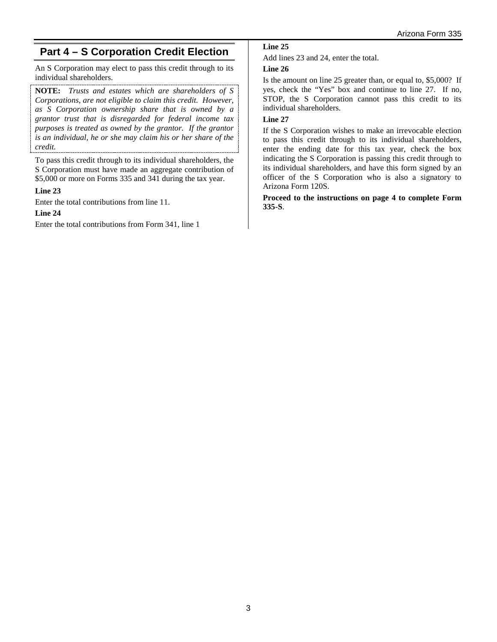# **Part 4 – S Corporation Credit Election**

An S Corporation may elect to pass this credit through to its individual shareholders.

**NOTE:** *Trusts and estates which are shareholders of S Corporations, are not eligible to claim this credit. However, as S Corporation ownership share that is owned by a grantor trust that is disregarded for federal income tax purposes is treated as owned by the grantor. If the grantor is an individual, he or she may claim his or her share of the credit.* 

To pass this credit through to its individual shareholders, the S Corporation must have made an aggregate contribution of \$5,000 or more on Forms 335 and 341 during the tax year.

#### **Line 23**

Enter the total contributions from line 11.

## **Line 24**

Enter the total contributions from Form 341, line 1

## **Line 25**

Add lines 23 and 24, enter the total.

#### **Line 26**

Is the amount on line 25 greater than, or equal to, \$5,000? If yes, check the "Yes" box and continue to line 27. If no, STOP, the S Corporation cannot pass this credit to its individual shareholders.

## **Line 27**

If the S Corporation wishes to make an irrevocable election to pass this credit through to its individual shareholders, enter the ending date for this tax year, check the box indicating the S Corporation is passing this credit through to its individual shareholders, and have this form signed by an officer of the S Corporation who is also a signatory to Arizona Form 120S.

**Proceed to the instructions on page 4 to complete Form 335-S**.